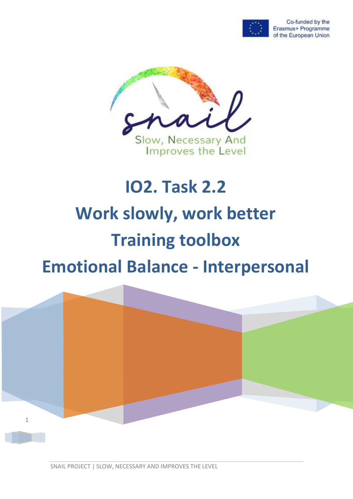

Co-funded by the Erasmus+ Programme of the European Union



# **IO2. Task 2.2 Work slowly, work better Training toolbox Emotional Balance - Interpersonal**



SNAIL PROJECT | SLOW, NECESSARY AND IMPROVES THE LEVEL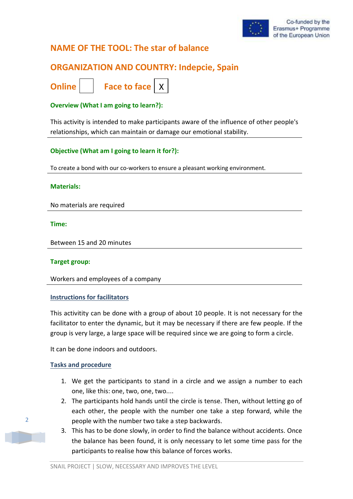

# **NAME OF THE TOOL: The star of balance**

# **ORGANIZATION AND COUNTRY: Indepcie, Spain**

**Online | | Face to face | X** 

## **Overview (What I am going to learn?):**

This activity is intended to make participants aware of the influence of other people's relationships, which can maintain or damage our emotional stability.

## **Objective (What am I going to learn it for?):**

To create a bond with our co-workers to ensure a pleasant working environment.

#### **Materials:**

No materials are required

**Time:**

Between 15 and 20 minutes

#### **Target group:**

Workers and employees of a company

#### **Instructions for facilitators**

This activitity can be done with a group of about 10 people. It is not necessary for the facilitator to enter the dynamic, but it may be necessary if there are few people. If the group is very large, a large space will be required since we are going to form a circle.

It can be done indoors and outdoors.

#### **Tasks and procedure**

- 1. We get the participants to stand in a circle and we assign a number to each one, like this: one, two, one, two....
- 2. The participants hold hands until the circle is tense. Then, without letting go of each other, the people with the number one take a step forward, while the people with the number two take a step backwards.
- 3. This has to be done slowly, in order to find the balance without accidents. Once the balance has been found, it is only necessary to let some time pass for the participants to realise how this balance of forces works.

2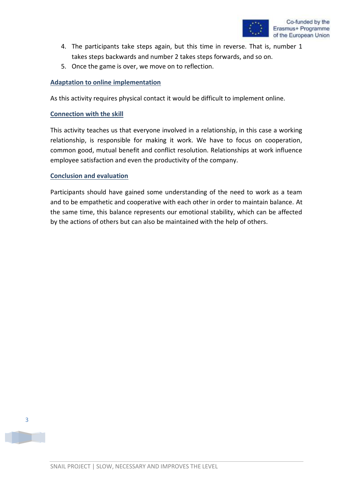- 4. The participants take steps again, but this time in reverse. That is, number 1 takes steps backwards and number 2 takes steps forwards, and so on.
- 5. Once the game is over, we move on to reflection.

## **Adaptation to online implementation**

As this activity requires physical contact it would be difficult to implement online.

#### **Connection with the skill**

This activity teaches us that everyone involved in a relationship, in this case a working relationship, is responsible for making it work. We have to focus on cooperation, common good, mutual benefit and conflict resolution. Relationships at work influence employee satisfaction and even the productivity of the company.

#### **Conclusion and evaluation**

Participants should have gained some understanding of the need to work as a team and to be empathetic and cooperative with each other in order to maintain balance. At the same time, this balance represents our emotional stability, which can be affected by the actions of others but can also be maintained with the help of others.